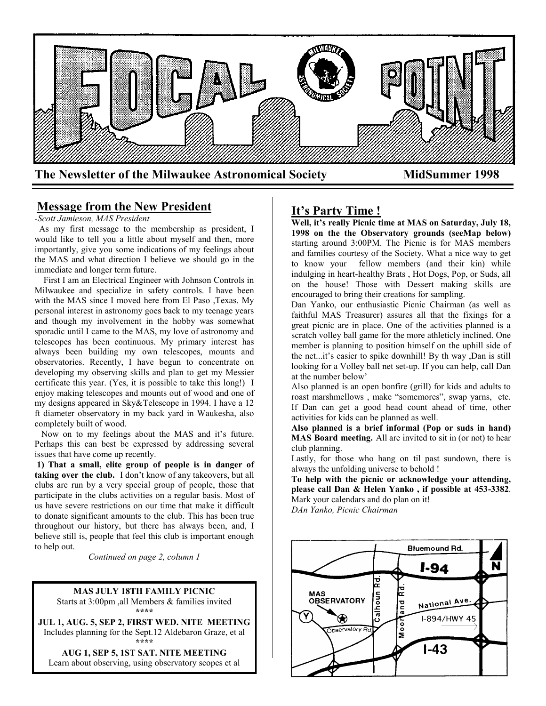

# **Message from the New President**

*-Scott Jamieson, MAS President*

 As my first message to the membership as president, I would like to tell you a little about myself and then, more importantly, give you some indications of my feelings about the MAS and what direction I believe we should go in the immediate and longer term future.

 First I am an Electrical Engineer with Johnson Controls in Milwaukee and specialize in safety controls. I have been with the MAS since I moved here from El Paso ,Texas. My personal interest in astronomy goes back to my teenage years and though my involvement in the hobby was somewhat sporadic until I came to the MAS, my love of astronomy and telescopes has been continuous. My primary interest has always been building my own telescopes, mounts and observatories. Recently, I have begun to concentrate on developing my observing skills and plan to get my Messier certificate this year. (Yes, it is possible to take this long!) I enjoy making telescopes and mounts out of wood and one of my designs appeared in Sky&Telescope in 1994. I have a 12 ft diameter observatory in my back yard in Waukesha, also completely built of wood.

 Now on to my feelings about the MAS and it's future. Perhaps this can best be expressed by addressing several issues that have come up recently.

**1) That a small, elite group of people is in danger of taking over the club.** I don't know of any takeovers, but all clubs are run by a very special group of people, those that participate in the clubs activities on a regular basis. Most of us have severe restrictions on our time that make it difficult to donate significant amounts to the club. This has been true throughout our history, but there has always been, and, I believe still is, people that feel this club is important enough to help out.

*Continued on page 2, column 1*

## **MAS JULY 18TH FAMILY PICNIC**

Starts at 3:00pm ,all Members & families invited **\*\*\*\***

**JUL 1, AUG. 5, SEP 2, FIRST WED. NITE MEETING** Includes planning for the Sept.12 Aldebaron Graze, et al **\*\*\*\***

**AUG 1, SEP 5, 1ST SAT. NITE MEETING** Learn about observing, using observatory scopes et al

# **It's Party Time !**

**Well, it's really Picnic time at MAS on Saturday, July 18, 1998 on the the Observatory grounds (seeMap below)**  starting around 3:00PM. The Picnic is for MAS members and families courtesy of the Society. What a nice way to get to know your fellow members (and their kin) while indulging in heart-healthy Brats , Hot Dogs, Pop, or Suds, all on the house! Those with Dessert making skills are encouraged to bring their creations for sampling.

Dan Yanko, our enthusiastic Picnic Chairman (as well as faithful MAS Treasurer) assures all that the fixings for a great picnic are in place. One of the activities planned is a scratch volley ball game for the more athleticly inclined. One member is planning to position himself on the uphill side of the net...it's easier to spike downhill! By th way ,Dan is still looking for a Volley ball net set-up. If you can help, call Dan at the number below'

Also planned is an open bonfire (grill) for kids and adults to roast marshmellows , make "somemores", swap yarns, etc. If Dan can get a good head count ahead of time, other activities for kids can be planned as well.

**Also planned is a brief informal (Pop or suds in hand) MAS Board meeting.** All are invited to sit in (or not) to hear club planning.

Lastly, for those who hang on til past sundown, there is always the unfolding universe to behold !

**To help with the picnic or acknowledge your attending, please call Dan & Helen Yanko , if possible at 453-3382**. Mark your calendars and do plan on it!

*DAn Yanko, Picnic Chairman*

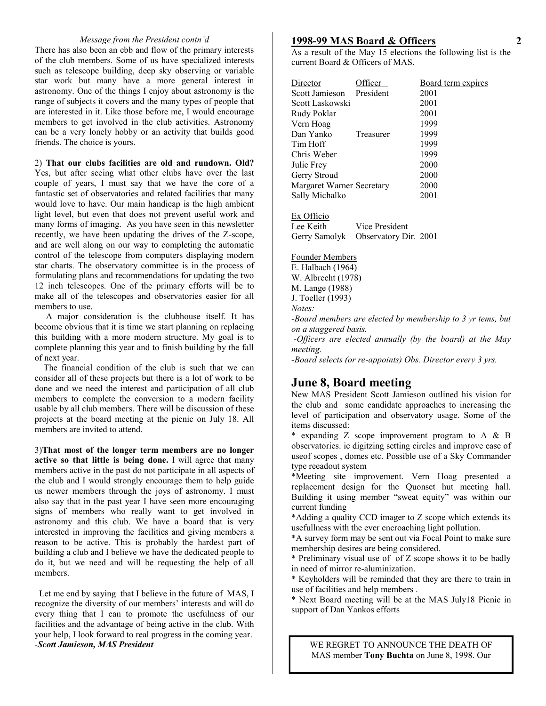#### *Message from the President contn'd*

There has also been an ebb and flow of the primary interests of the club members. Some of us have specialized interests such as telescope building, deep sky observing or variable star work but many have a more general interest in astronomy. One of the things I enjoy about astronomy is the range of subjects it covers and the many types of people that are interested in it. Like those before me, I would encourage members to get involved in the club activities. Astronomy can be a very lonely hobby or an activity that builds good friends. The choice is yours.

2) **That our clubs facilities are old and rundown. Old?** Yes, but after seeing what other clubs have over the last couple of years, I must say that we have the core of a fantastic set of observatories and related facilities that many would love to have. Our main handicap is the high ambient light level, but even that does not prevent useful work and many forms of imaging. As you have seen in this newsletter recently, we have been updating the drives of the Z-scope, and are well along on our way to completing the automatic control of the telescope from computers displaying modern star charts. The observatory committee is in the process of formulating plans and recommendations for updating the two 12 inch telescopes. One of the primary efforts will be to make all of the telescopes and observatories easier for all members to use.

 A major consideration is the clubhouse itself. It has become obvious that it is time we start planning on replacing this building with a more modern structure. My goal is to complete planning this year and to finish building by the fall of next year.

 The financial condition of the club is such that we can consider all of these projects but there is a lot of work to be done and we need the interest and participation of all club members to complete the conversion to a modern facility usable by all club members. There will be discussion of these projects at the board meeting at the picnic on July 18. All members are invited to attend.

3)**That most of the longer term members are no longer active so that little is being done.** I will agree that many members active in the past do not participate in all aspects of the club and I would strongly encourage them to help guide us newer members through the joys of astronomy. I must also say that in the past year I have seen more encouraging signs of members who really want to get involved in astronomy and this club. We have a board that is very interested in improving the facilities and giving members a reason to be active. This is probably the hardest part of building a club and I believe we have the dedicated people to do it, but we need and will be requesting the help of all members.

 Let me end by saying that I believe in the future of MAS, I recognize the diversity of our members' interests and will do every thing that I can to promote the usefulness of our facilities and the advantage of being active in the club. With your help, I look forward to real progress in the coming year. *-Scott Jamieson, MAS President*

#### **1998-99 MAS Board & Officers**

As a result of the May 15 elections the following list is the current Board & Officers of MAS.

| Director                  | fficer    | Board term expires |
|---------------------------|-----------|--------------------|
| Scott Jamieson            | President | 2001               |
| Scott Laskowski           |           | 2001               |
| Rudy Poklar               |           | 2001               |
| Vern Hoag                 |           | 1999               |
| Dan Yanko                 | Treasurer | 1999               |
| Tim Hoff                  |           | 1999               |
| Chris Weber               |           | 1999               |
| Julie Frey                |           | 2000               |
| Gerry Stroud              |           | 2000               |
| Margaret Warner Secretary |           | 2000               |
| Sally Michalko            |           | 2001               |

Ex Officio

Lee Keith Vice President Gerry Samolyk Observatory Dir. 2001

Founder Members E. Halbach (1964) W. Albrecht (1978) M. Lange (1988) J. Toeller (1993) *Notes: -Board members are elected by membership to 3 yr tems, but on a staggered basis. -Officers are elected annually (by the board) at the May meeting. -Board selects (or re-appoints) Obs. Director every 3 yrs.*

# **June 8, Board meeting**

New MAS President Scott Jamieson outlined his vision for the club and some candidate approaches to increasing the level of participation and observatory usage. Some of the items discussed:

\* expanding Z scope improvement program to A & B observatories. ie digitzing setting circles and improve ease of useof scopes , domes etc. Possible use of a Sky Commander type reeadout system

\*Meeting site improvement. Vern Hoag presented a replacement design for the Quonset hut meeting hall. Building it using member "sweat equity" was within our current funding

\*Adding a quality CCD imager to Z scope which extends its usefullness with the ever encroaching light pollution.

\*A survey form may be sent out via Focal Point to make sure membership desires are being considered.

\* Preliminary visual use of of Z scope shows it to be badly in need of mirror re-aluminization.

\* Keyholders will be reminded that they are there to train in use of facilities and help members .

\* Next Board meeting will be at the MAS July18 Picnic in support of Dan Yankos efforts

WE REGRET TO ANNOUNCE THE DEATH OF MAS member **Tony Buchta** on June 8, 1998. Our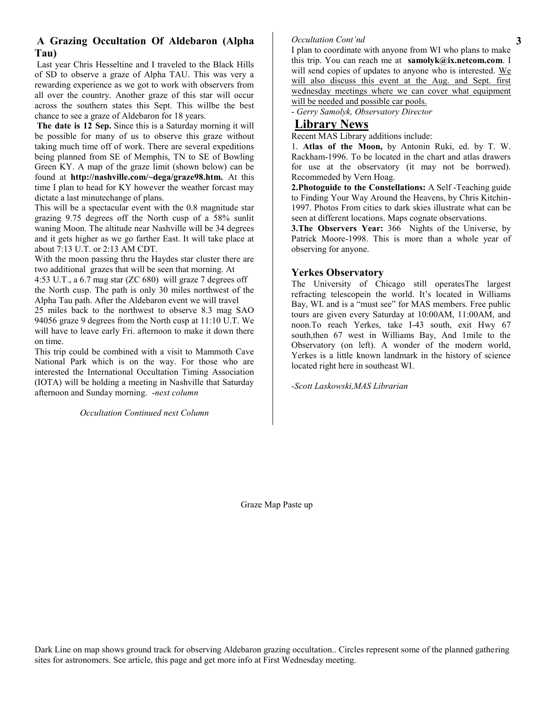# **A Grazing Occultation Of Aldebaron (Alpha Tau)**

Last year Chris Hesseltine and I traveled to the Black Hills of SD to observe a graze of Alpha TAU. This was very a rewarding experience as we got to work with observers from all over the country. Another graze of this star will occur across the southern states this Sept. This willbe the best chance to see a graze of Aldebaron for 18 years.

**The date is 12 Sep.** Since this is a Saturday morning it will be possible for many of us to observe this graze without taking much time off of work. There are several expeditions being planned from SE of Memphis, TN to SE of Bowling Green KY. A map of the graze limit (shown below) can be found at **http://nashville.com/~dega/graze98.htm.** At this time I plan to head for KY however the weather forcast may dictate a last minutechange of plans.

This will be a spectacular event with the 0.8 magnitude star grazing 9.75 degrees off the North cusp of a 58% sunlit waning Moon. The altitude near Nashville will be 34 degrees and it gets higher as we go farther East. It will take place at about 7:13 U.T. or 2:13 AM CDT.

With the moon passing thru the Haydes star cluster there are two additional grazes that will be seen that morning. At

4:53 U.T., a 6.7 mag star (ZC 680) will graze 7 degrees off the North cusp. The path is only 30 miles northwest of the

Alpha Tau path. After the Aldebaron event we will travel 25 miles back to the northwest to observe 8.3 mag SAO 94056 graze 9 degrees from the North cusp at 11:10 U.T. We will have to leave early Fri. afternoon to make it down there on time.

This trip could be combined with a visit to Mammoth Cave National Park which is on the way. For those who are interested the International Occultation Timing Association (IOTA) will be holding a meeting in Nashville that Saturday afternoon and Sunday morning. -*next column*

#### *Occultation Continued next Column*

#### *Occultation Cont'nd*

I plan to coordinate with anyone from WI who plans to make this trip. You can reach me at **samolyk@ix.netcom.com**. I will send copies of updates to anyone who is interested. We will also discuss this event at the Aug. and Sept. first wednesday meetings where we can cover what equipment will be needed and possible car pools.

- *Gerry Samolyk, Observatory Director*

# **Library News**

Recent MAS Library additions include:

1. **Atlas of the Moon,** by Antonin Ruki, ed. by T. W. Rackham-1996. To be located in the chart and atlas drawers for use at the observatory (it may not be borrwed). Recommeded by Vern Hoag.

**2.Photoguide to the Constellations:** A Self -Teaching guide to Finding Your Way Around the Heavens, by Chris Kitchin-1997. Photos From cities to dark skies illustrate what can be seen at different locations. Maps cognate observations.

**3.The Observers Year:** 366 Nights of the Universe, by Patrick Moore-1998. This is more than a whole year of observing for anyone.

# **Yerkes Observatory**

The University of Chicago still operatesThe largest refracting telescopein the world. It's located in Williams Bay, WI. and is a "must see" for MAS members. Free public tours are given every Saturday at 10:00AM, 11:00AM, and noon.To reach Yerkes, take I-43 south, exit Hwy 67 south,then 67 west in Williams Bay, And 1mile to the Observatory (on left). A wonder of the modern world, Yerkes is a little known landmark in the history of science located right here in southeast WI.

*-Scott Laskowski,MAS Librarian*

Graze Map Paste up

Dark Line on map shows ground track for observing Aldebaron grazing occultation.. Circles represent some of the planned gathering sites for astronomers. See article, this page and get more info at First Wednesday meeting.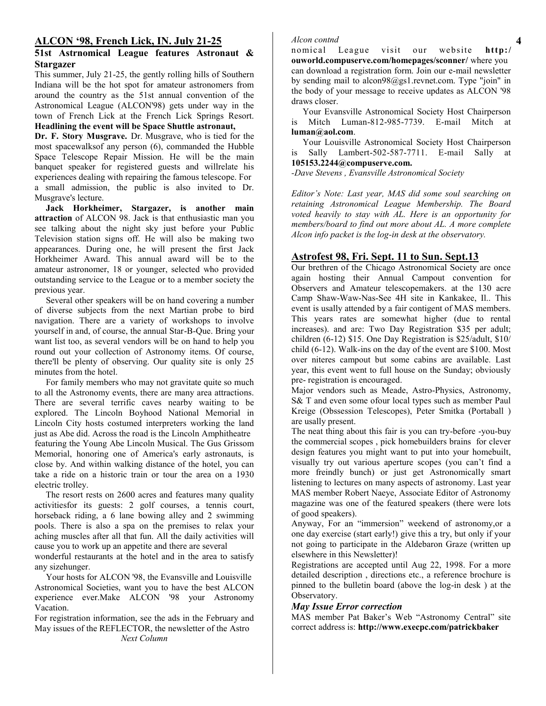# **ALCON '98, French Lick, IN. July 21-25**

#### **51st Astrnomical League features Astronaut & Stargazer**

This summer, July 21-25, the gently rolling hills of Southern Indiana will be the hot spot for amateur astronomers from around the country as the 51st annual convention of the Astronomical League (ALCON'98) gets under way in the town of French Lick at the French Lick Springs Resort.

# **Headlining the event will be Space Shuttle astronaut,**

**Dr. F. Story Musgrave.** Dr. Musgrave, who is tied for the most spacewalksof any person (6), commanded the Hubble Space Telescope Repair Mission. He will be the main banquet speaker for registered guests and willrelate his experiences dealing with repairing the famous telescope. For a small admission, the public is also invited to Dr. Musgrave's lecture.

 **Jack Horkheimer, Stargazer, is another main attraction** of ALCON 98. Jack is that enthusiastic man you see talking about the night sky just before your Public Television station signs off. He will also be making two appearances. During one, he will present the first Jack Horkheimer Award. This annual award will be to the amateur astronomer, 18 or younger, selected who provided outstanding service to the League or to a member society the previous year.

 Several other speakers will be on hand covering a number of diverse subjects from the next Martian probe to bird navigation. There are a variety of workshops to involve yourself in and, of course, the annual Star-B-Que. Bring your want list too, as several vendors will be on hand to help you round out your collection of Astronomy items. Of course, there'll be plenty of observing. Our quality site is only 25 minutes from the hotel.

 For family members who may not gravitate quite so much to all the Astronomy events, there are many area attractions. There are several terrific caves nearby waiting to be explored. The Lincoln Boyhood National Memorial in Lincoln City hosts costumed interpreters working the land just as Abe did. Across the road is the Lincoln Amphitheatre featuring the Young Abe Lincoln Musical. The Gus Grissom Memorial, honoring one of America's early astronauts, is close by. And within walking distance of the hotel, you can take a ride on a historic train or tour the area on a 1930 electric trolley.

 The resort rests on 2600 acres and features many quality activitiesfor its guests: 2 golf courses, a tennis court, horseback riding, a 6 lane bowing alley and 2 swimming pools. There is also a spa on the premises to relax your aching muscles after all that fun. All the daily activities will cause you to work up an appetite and there are several

wonderful restaurants at the hotel and in the area to satisfy any sizehunger.

 Your hosts for ALCON '98, the Evansville and Louisville Astronomical Societies, want you to have the best ALCON experience ever.Make ALCON '98 your Astronomy Vacation.

For registration information, see the ads in the February and May issues of the REFLECTOR, the newsletter of the Astro *Next Column*

#### *Alcon contnd*

nomical League visit our website **http:/ ouworld.compuserve.com/homepages/sconner/** where you can download a registration form. Join our e-mail newsletter by sending mail to alcon98@gs1.revnet.com. Type "join" in the body of your message to receive updates as ALCON '98 draws closer.

 Your Evansville Astronomical Society Host Chairperson is Mitch Luman-812-985-7739. E-mail Mitch at **luman@aol.com**.

 Your Louisville Astronomical Society Host Chairperson is Sally Lambert-502-587-7711. E-mail Sally at **105153.2244@compuserve.com.**

*-Dave Stevens , Evansville Astronomical Society*

*Editor's Note: Last year, MAS did some soul searching on retaining Astronomical League Membership. The Board voted heavily to stay with AL. Here is an opportunity for members/board to find out more about AL. A more complete Alcon info packet is the log-in desk at the observatory.*

## **Astrofest 98, Fri. Sept. 11 to Sun. Sept.13**

Our brethren of the Chicago Astronomical Society are once again hosting their Annual Campout convention for Observers and Amateur telescopemakers. at the 130 acre Camp Shaw-Waw-Nas-See 4H site in Kankakee, Il.. This event is usally attended by a fair contigent of MAS members. This years rates are somewhat higher (due to rental increases). and are: Two Day Registration \$35 per adult; children (6-12) \$15. One Day Registration is \$25/adult, \$10/ child (6-12). Walk-ins on the day of the event are \$100. Most over niteres campout but some cabins are available. Last year, this event went to full house on the Sunday; obviously pre- registration is encouraged.

Major vendors such as Meade, Astro-Physics, Astronomy, S& T and even some ofour local types such as member Paul Kreige (Obssession Telescopes), Peter Smitka (Portaball ) are usally present.

The neat thing about this fair is you can try-before -you-buy the commercial scopes , pick homebuilders brains for clever design features you might want to put into your homebuilt, visually try out various aperture scopes (you can't find a more freindly bunch) or just get Astronomically smart listening to lectures on many aspects of astronomy. Last year MAS member Robert Naeye, Associate Editor of Astronomy magazine was one of the featured speakers (there were lots of good speakers).

Anyway, For an "immersion" weekend of astronomy,or a one day exercise (start early!) give this a try, but only if your not going to participate in the Aldebaron Graze (written up elsewhere in this Newsletter)!

Registrations are accepted until Aug 22, 1998. For a more detailed description , directions etc., a reference brochure is pinned to the bulletin board (above the log-in desk ) at the Observatory.

#### *May Issue Error correction*

MAS member Pat Baker's Web "Astronomy Central" site correct address is: **http://www.execpc.com/patrickbaker**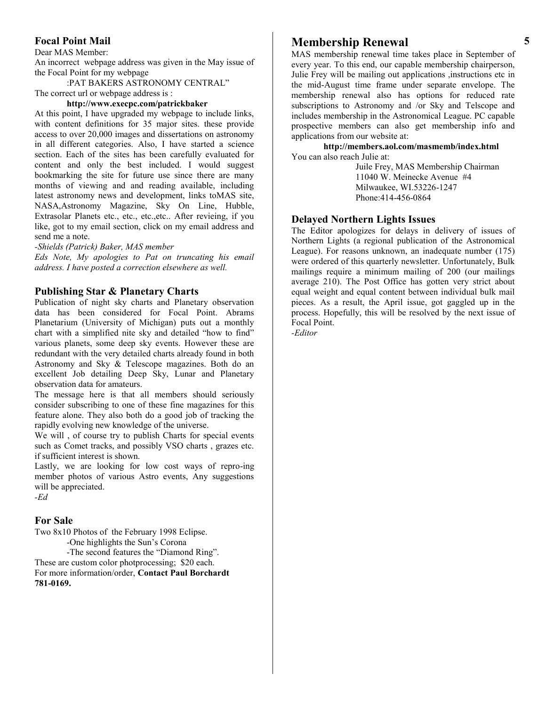## **Focal Point Mail**

Dear MAS Member:

An incorrect webpage address was given in the May issue of the Focal Point for my webpage

:PAT BAKERS ASTRONOMY CENTRAL"

The correct url or webpage address is :

# **http://www.execpc.com/patrickbaker**

At this point, I have upgraded my webpage to include links, with content definitions for 35 major sites. these provide access to over 20,000 images and dissertations on astronomy in all different categories. Also, I have started a science section. Each of the sites has been carefully evaluated for content and only the best included. I would suggest bookmarking the site for future use since there are many months of viewing and and reading available, including latest astronomy news and development, links toMAS site, NASA,Astronomy Magazine, Sky On Line, Hubble, Extrasolar Planets etc., etc., etc.,etc.. After revieing, if you like, got to my email section, click on my email address and send me a note.

#### *-Shields (Patrick) Baker, MAS member*

*Eds Note, My apologies to Pat on truncating his email address. I have posted a correction elsewhere as well.*

#### **Publishing Star & Planetary Charts**

Publication of night sky charts and Planetary observation data has been considered for Focal Point. Abrams Planetarium (University of Michigan) puts out a monthly chart with a simplified nite sky and detailed "how to find" various planets, some deep sky events. However these are redundant with the very detailed charts already found in both Astronomy and Sky & Telescope magazines. Both do an excellent Job detailing Deep Sky, Lunar and Planetary observation data for amateurs.

The message here is that all members should seriously consider subscribing to one of these fine magazines for this feature alone. They also both do a good job of tracking the rapidly evolving new knowledge of the universe.

We will , of course try to publish Charts for special events such as Comet tracks, and possibly VSO charts , grazes etc. if sufficient interest is shown.

Lastly, we are looking for low cost ways of repro-ing member photos of various Astro events, Any suggestions will be appreciated.

*-Ed*

#### **For Sale**

Two 8x10 Photos of the February 1998 Eclipse.

-One highlights the Sun's Corona

-The second features the "Diamond Ring". These are custom color photprocessing; \$20 each. For more information/order, **Contact Paul Borchardt 781-0169.**

# **Membership Renewal**

MAS membership renewal time takes place in September of every year. To this end, our capable membership chairperson, Julie Frey will be mailing out applications ,instructions etc in the mid-August time frame under separate envelope. The membership renewal also has options for reduced rate subscriptions to Astronomy and /or Sky and Telscope and includes membership in the Astronomical League. PC capable prospective members can also get membership info and applications from our website at:

**http://members.aol.com/masmemb/index.html** You can also reach Julie at:

> Juile Frey, MAS Membership Chairman 11040 W. Meinecke Avenue #4 Milwaukee, WI.53226-1247 Phone:414-456-0864

### **Delayed Northern Lights Issues**

The Editor apologizes for delays in delivery of issues of Northern Lights (a regional publication of the Astronomical League). For reasons unknown, an inadequate number (175) were ordered of this quarterly newsletter. Unfortunately, Bulk mailings require a minimum mailing of 200 (our mailings average 210). The Post Office has gotten very strict about equal weight and equal content between individual bulk mail pieces. As a result, the April issue, got gaggled up in the process. Hopefully, this will be resolved by the next issue of Focal Point.

*-Editor*